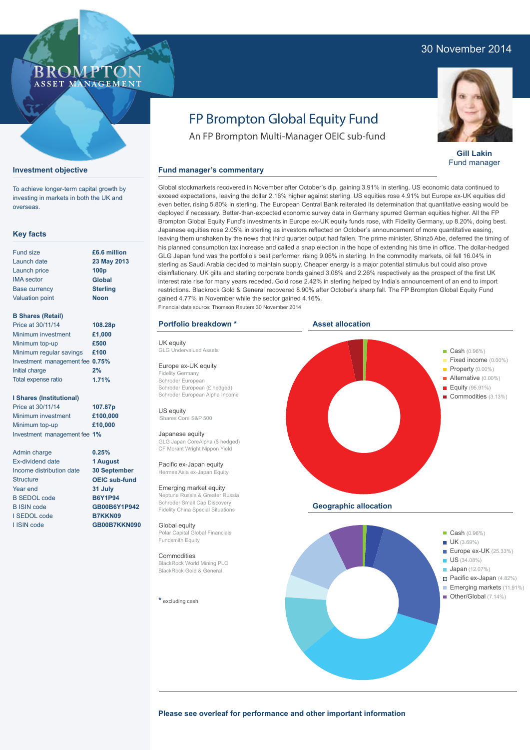#### 30 November 2014



**Gill Lakin** Fund manager

## FP Brompton Global Equity Fund

An FP Brompton Multi-Manager OEIC sub-fund

#### **Fund manager's commentary**

Global stockmarkets recovered in November after October's dip, gaining 3.91% in sterling. US economic data continued to exceed expectations, leaving the dollar 2.16% higher against sterling. US equities rose 4.91% but Europe ex-UK equities did even better, rising 5.80% in sterling. The European Central Bank reiterated its determination that quantitative easing would be deployed if necessary. Better-than-expected economic survey data in Germany spurred German equities higher. All the FP Brompton Global Equity Fund's investments in Europe ex-UK equity funds rose, with Fidelity Germany, up 8.20%, doing best. Japanese equities rose 2.05% in sterling as investors reflected on October's announcement of more quantitative easing, leaving them unshaken by the news that third quarter output had fallen. The prime minister, Shinzō Abe, deferred the timing of his planned consumption tax increase and called a snap election in the hope of extending his time in office. The dollar-hedged GLG Japan fund was the portfolio's best performer, rising 9.06% in sterling. In the commodity markets, oil fell 16.04% in sterling as Saudi Arabia decided to maintain supply. Cheaper energy is a major potential stimulus but could also prove disinflationary. UK gilts and sterling corporate bonds gained 3.08% and 2.26% respectively as the prospect of the first UK interest rate rise for many years receded. Gold rose 2.42% in sterling helped by India's announcement of an end to import restrictions. Blackrock Gold & General recovered 8.90% after October's sharp fall. The FP Brompton Global Equity Fund gained 4.77% in November while the sector gained 4.16%. Financial data source: Thomson Reuters 30 November 2014

#### **Portfolio breakdown \***

UK equity GLG Undervalued Assets

Europe ex-UK equity Fidelity Germany Schroder European Schroder European (£ hedged) Schroder European Alpha Income

US equity iShares Core S&P 500

Japanese equity GLG Japan CoreAlpha (\$ hedged) CF Morant Wright Nippon Yield

Pacific ex-Japan equity Hermes Asia ex-Japan Equity

#### Emerging market equity

Neptune Russia & Greater Russia Schroder Small Cap Discovery Fidelity China Special Situations

Global equity Polar Capital Global Financials Fundsmith Equity

Commodities BlackRock World Mining PLC BlackRock Gold & General

**\*** excluding cash



**Please see overleaf for performance and other important information**

# overseas.

**Key facts**

**Investment objective**

To achieve longer-term capital growth by investing in markets in both the UK and

ROM P ASSET MANAGEMENT

| £6.6 million     |
|------------------|
| 23 May 2013      |
| 100 <sub>p</sub> |
| Global           |
| <b>Sterling</b>  |
| <b>Noon</b>      |
|                  |
|                  |
|                  |

| Price at 30/11/14               | 108.28p |
|---------------------------------|---------|
| Minimum investment              | £1,000  |
| Minimum top-up                  | £500    |
| Minimum regular savings         | £100    |
| Investment management fee 0.75% |         |
| Initial charge                  | 2%      |

#### **I Shares (Institutional)**

Total expense ratio

Price at 30/11/14 Minimum investment Minimum top-up Investment management fee **1% 107.87p £100,000 £10,000**

Admin charge Ex-dividend date Income distribution date **Structure** Year end B SEDOL code B ISIN code I SEDOL code I ISIN code

**0.25% 1 August 30 September OEIC sub-fund 31 July B6Y1P94 GB00B6Y1P942 B7KKN09**

**GB00B7KKN090**

**£100 0.75% 2% 1.71%**